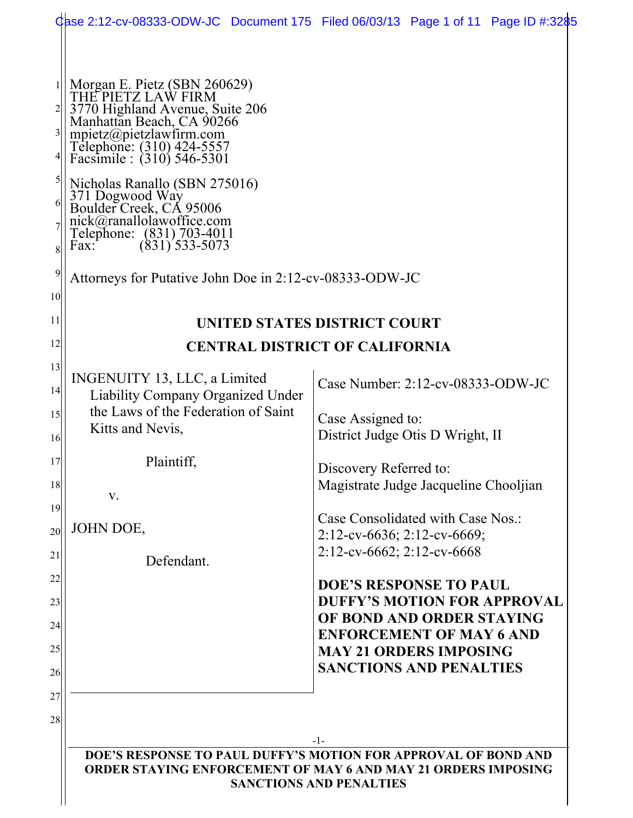|                                         |                                                                                                                                                                                                                                                                                                                                                                                                                                          | Qase 2:12-cv-08333-ODW-JC Document 175 Filed 06/03/13 Page 1 of 11 Page ID #:3285 |  |  |  |  |  |
|-----------------------------------------|------------------------------------------------------------------------------------------------------------------------------------------------------------------------------------------------------------------------------------------------------------------------------------------------------------------------------------------------------------------------------------------------------------------------------------------|-----------------------------------------------------------------------------------|--|--|--|--|--|
| $\frac{3}{2}$<br>5<br>6<br>8<br>9<br>10 | Morgan E. Pietz (SBN 260629)<br>THE PIETZ LAW FIRM<br>3770 Highland Avenue, Suite 206<br>Manhattan Beach, CA 90266<br>mpietz@pietzlawfirm.com<br>Telephone: (310) 424-5557<br>Facsimile : (310) 546-5301<br>Nicholas Ranallo (SBN 275016)<br>371 Dogwood Way<br>Boulder Creek, CA 95006<br>nick@ranallolawoffice.com<br>Telephone: (831) 703-4011<br>$(831)$ 533-5073<br>Fax:<br>Attorneys for Putative John Doe in 2:12-cv-08333-ODW-JC |                                                                                   |  |  |  |  |  |
| 11                                      | UNITED STATES DISTRICT COURT                                                                                                                                                                                                                                                                                                                                                                                                             |                                                                                   |  |  |  |  |  |
| 12                                      | <b>CENTRAL DISTRICT OF CALIFORNIA</b>                                                                                                                                                                                                                                                                                                                                                                                                    |                                                                                   |  |  |  |  |  |
| 13<br> 4                                | INGENUITY 13, LLC, a Limited<br><b>Liability Company Organized Under</b>                                                                                                                                                                                                                                                                                                                                                                 | Case Number: 2:12-cv-08333-ODW-JC                                                 |  |  |  |  |  |
| 15<br>16                                | the Laws of the Federation of Saint<br>Kitts and Nevis,                                                                                                                                                                                                                                                                                                                                                                                  | Case Assigned to:<br>District Judge Otis D Wright, II                             |  |  |  |  |  |
| 17<br>18                                | Plaintiff,<br>V.                                                                                                                                                                                                                                                                                                                                                                                                                         | Discovery Referred to:<br>Magistrate Judge Jacqueline Chooljian                   |  |  |  |  |  |
| 19<br>20                                | JOHN DOE,                                                                                                                                                                                                                                                                                                                                                                                                                                | Case Consolidated with Case Nos.:<br>$2:12$ -cv-6636; 2:12-cv-6669;               |  |  |  |  |  |
| 21                                      | Defendant.                                                                                                                                                                                                                                                                                                                                                                                                                               | 2:12-cv-6662; 2:12-cv-6668                                                        |  |  |  |  |  |
| 22<br>23                                |                                                                                                                                                                                                                                                                                                                                                                                                                                          | <b>DOE'S RESPONSE TO PAUL</b><br><b>DUFFY'S MOTION FOR APPROVAL</b>               |  |  |  |  |  |
| 24                                      |                                                                                                                                                                                                                                                                                                                                                                                                                                          | OF BOND AND ORDER STAYING<br><b>ENFORCEMENT OF MAY 6 AND</b>                      |  |  |  |  |  |
| 25<br>26                                |                                                                                                                                                                                                                                                                                                                                                                                                                                          | <b>MAY 21 ORDERS IMPOSING</b><br><b>SANCTIONS AND PENALTIES</b>                   |  |  |  |  |  |
| 27                                      |                                                                                                                                                                                                                                                                                                                                                                                                                                          |                                                                                   |  |  |  |  |  |
| 28                                      |                                                                                                                                                                                                                                                                                                                                                                                                                                          |                                                                                   |  |  |  |  |  |
|                                         | $-1-$<br>DOE'S RESPONSE TO PAUL DUFFY'S MOTION FOR APPROVAL OF BOND AND<br><b>ORDER STAYING ENFORCEMENT OF MAY 6 AND MAY 21 ORDERS IMPOSING</b><br><b>SANCTIONS AND PENALTIES</b>                                                                                                                                                                                                                                                        |                                                                                   |  |  |  |  |  |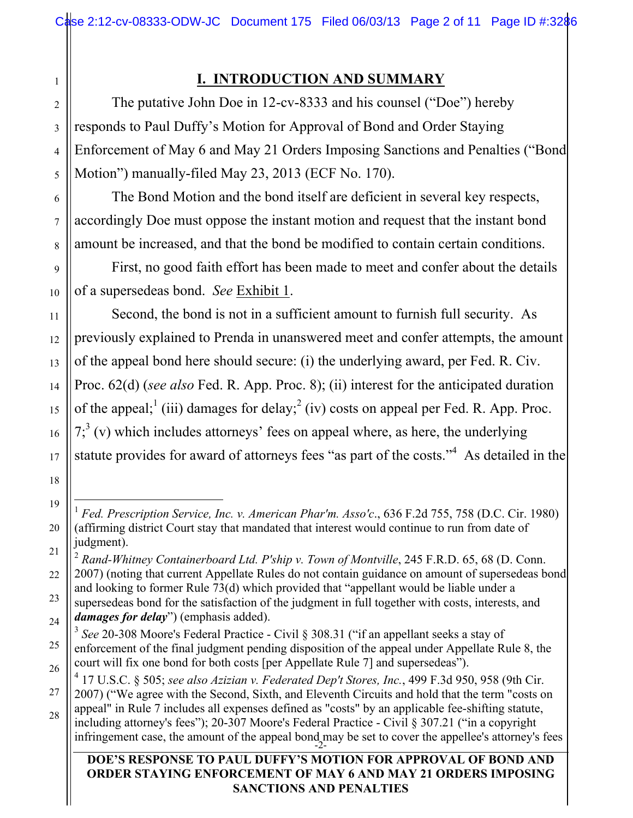# **I. INTRODUCTION AND SUMMARY**

The putative John Doe in 12-cv-8333 and his counsel ("Doe") hereby responds to Paul Duffy's Motion for Approval of Bond and Order Staying Enforcement of May 6 and May 21 Orders Imposing Sanctions and Penalties ("Bond Motion") manually-filed May 23, 2013 (ECF No. 170).

The Bond Motion and the bond itself are deficient in several key respects, accordingly Doe must oppose the instant motion and request that the instant bond amount be increased, and that the bond be modified to contain certain conditions.

First, no good faith effort has been made to meet and confer about the details of a supersedeas bond. *See* Exhibit 1.

Second, the bond is not in a sufficient amount to furnish full security. As previously explained to Prenda in unanswered meet and confer attempts, the amount of the appeal bond here should secure: (i) the underlying award, per Fed. R. Civ. Proc. 62(d) (*see also* Fed. R. App. Proc. 8); (ii) interest for the anticipated duration of the appeal;<sup>1</sup> (iii) damages for delay;<sup>2</sup> (iv) costs on appeal per Fed. R. App. Proc.  $7<sup>3</sup>$  (v) which includes attorneys' fees on appeal where, as here, the underlying statute provides for award of attorneys fees "as part of the costs."<sup>4</sup> As detailed in the

#### **DOE'S RESPONSE TO PAUL DUFFY'S MOTION FOR APPROVAL OF BOND AND ORDER STAYING ENFORCEMENT OF MAY 6 AND MAY 21 ORDERS IMPOSING SANCTIONS AND PENALTIES**

1

2

 <sup>1</sup> *Fed. Prescription Service, Inc. v. American Phar'm. Asso'c*., 636 F.2d 755, 758 (D.C. Cir. 1980) (affirming district Court stay that mandated that interest would continue to run from date of judgment).

<sup>&</sup>lt;sup>2</sup> Rand-Whitney Containerboard Ltd. P'ship v. Town of Montville, 245 F.R.D. 65, 68 (D. Conn. 2007) (noting that current Appellate Rules do not contain guidance on amount of supersedeas bond and looking to former Rule 73(d) which provided that "appellant would be liable under a

supersedeas bond for the satisfaction of the judgment in full together with costs, interests, and *damages for delay*") (emphasis added).

<sup>3</sup> *See* 20-308 Moore's Federal Practice - Civil § 308.31 ("if an appellant seeks a stay of enforcement of the final judgment pending disposition of the appeal under Appellate Rule 8, the court will fix one bond for both costs [per Appellate Rule 7] and supersedeas").

<sup>4</sup> 17 U.S.C. § 505; *see also Azizian v. Federated Dep't Stores, Inc.*, 499 F.3d 950, 958 (9th Cir.

<sup>2007) (&</sup>quot;We agree with the Second, Sixth, and Eleventh Circuits and hold that the term "costs on appeal" in Rule 7 includes all expenses defined as "costs" by an applicable fee-shifting statute,

infringement case, the amount of the appeal bond may be set to cover the appellee's attorney's fees including attorney's fees"); 20-307 Moore's Federal Practice - Civil § 307.21 ("in a copyright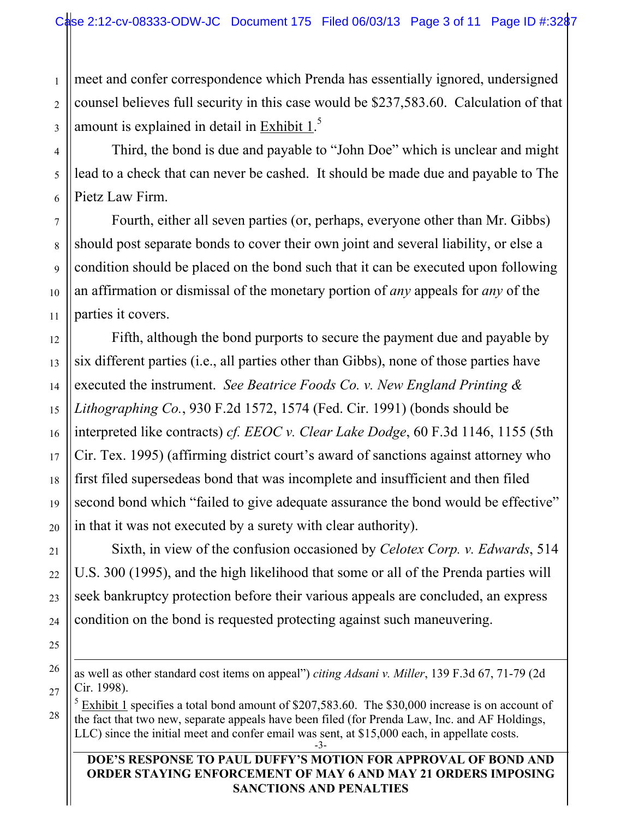1 meet and confer correspondence which Prenda has essentially ignored, undersigned counsel believes full security in this case would be \$237,583.60. Calculation of that amount is explained in detail in **Exhibit 1.**<sup>5</sup>

Third, the bond is due and payable to "John Doe" which is unclear and might lead to a check that can never be cashed. It should be made due and payable to The Pietz Law Firm.

Fourth, either all seven parties (or, perhaps, everyone other than Mr. Gibbs) should post separate bonds to cover their own joint and several liability, or else a condition should be placed on the bond such that it can be executed upon following an affirmation or dismissal of the monetary portion of *any* appeals for *any* of the parties it covers.

Fifth, although the bond purports to secure the payment due and payable by six different parties (i.e., all parties other than Gibbs), none of those parties have executed the instrument. *See Beatrice Foods Co. v. New England Printing & Lithographing Co.*, 930 F.2d 1572, 1574 (Fed. Cir. 1991) (bonds should be interpreted like contracts) *cf. EEOC v. Clear Lake Dodge*, 60 F.3d 1146, 1155 (5th Cir. Tex. 1995) (affirming district court's award of sanctions against attorney who first filed supersedeas bond that was incomplete and insufficient and then filed second bond which "failed to give adequate assurance the bond would be effective" in that it was not executed by a surety with clear authority).

Sixth, in view of the confusion occasioned by *Celotex Corp. v. Edwards*, 514 U.S. 300 (1995), and the high likelihood that some or all of the Prenda parties will seek bankruptcy protection before their various appeals are concluded, an express condition on the bond is requested protecting against such maneuvering.

as well as other standard cost items on appeal") *citing Adsani v. Miller*, 139 F.3d 67, 71-79 (2d Cir. 1998).<br><sup>5</sup> Exhibit 1 specifies a total bond amount of \$207,583.60. The \$30,000 increase is on account of

-3 the fact that two new, separate appeals have been filed (for Prenda Law, Inc. and AF Holdings, LLC) since the initial meet and confer email was sent, at \$15,000 each, in appellate costs.

#### **DOE'S RESPONSE TO PAUL DUFFY'S MOTION FOR APPROVAL OF BOND AND ORDER STAYING ENFORCEMENT OF MAY 6 AND MAY 21 ORDERS IMPOSING SANCTIONS AND PENALTIES**

 $\overline{a}$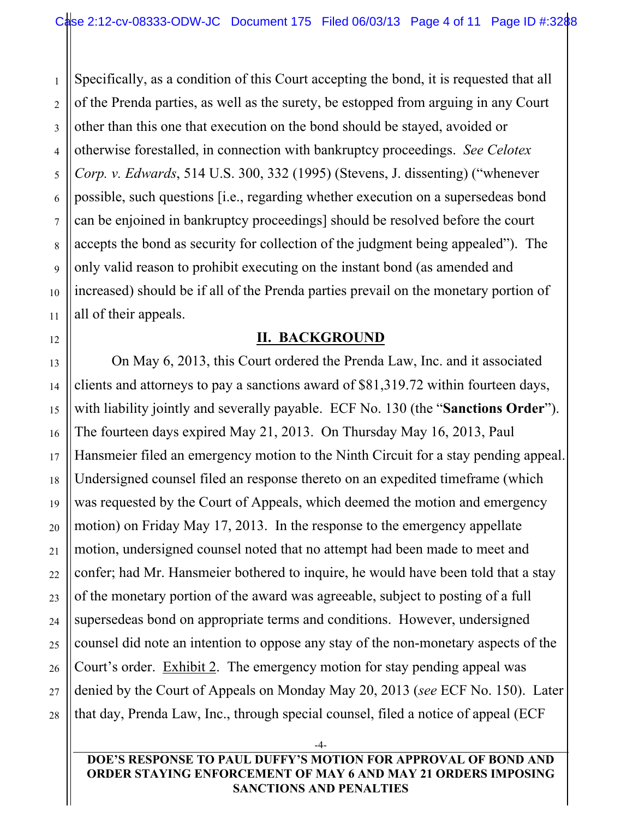Specifically, as a condition of this Court accepting the bond, it is requested that all of the Prenda parties, as well as the surety, be estopped from arguing in any Court other than this one that execution on the bond should be stayed, avoided or otherwise forestalled, in connection with bankruptcy proceedings. *See Celotex Corp. v. Edwards*, 514 U.S. 300, 332 (1995) (Stevens, J. dissenting) ("whenever possible, such questions [i.e., regarding whether execution on a supersedeas bond can be enjoined in bankruptcy proceedings] should be resolved before the court accepts the bond as security for collection of the judgment being appealed"). The only valid reason to prohibit executing on the instant bond (as amended and increased) should be if all of the Prenda parties prevail on the monetary portion of all of their appeals.

#### **II. BACKGROUND**

On May 6, 2013, this Court ordered the Prenda Law, Inc. and it associated clients and attorneys to pay a sanctions award of \$81,319.72 within fourteen days, with liability jointly and severally payable. ECF No. 130 (the "**Sanctions Order**"). The fourteen days expired May 21, 2013. On Thursday May 16, 2013, Paul Hansmeier filed an emergency motion to the Ninth Circuit for a stay pending appeal. Undersigned counsel filed an response thereto on an expedited timeframe (which was requested by the Court of Appeals, which deemed the motion and emergency motion) on Friday May 17, 2013. In the response to the emergency appellate motion, undersigned counsel noted that no attempt had been made to meet and confer; had Mr. Hansmeier bothered to inquire, he would have been told that a stay of the monetary portion of the award was agreeable, subject to posting of a full supersedeas bond on appropriate terms and conditions. However, undersigned counsel did note an intention to oppose any stay of the non-monetary aspects of the Court's order. Exhibit 2. The emergency motion for stay pending appeal was denied by the Court of Appeals on Monday May 20, 2013 (*see* ECF No. 150). Later that day, Prenda Law, Inc., through special counsel, filed a notice of appeal (ECF

**DOE'S RESPONSE TO PAUL DUFFY'S MOTION FOR APPROVAL OF BOND AND ORDER STAYING ENFORCEMENT OF MAY 6 AND MAY 21 ORDERS IMPOSING SANCTIONS AND PENALTIES**

-4-

1

2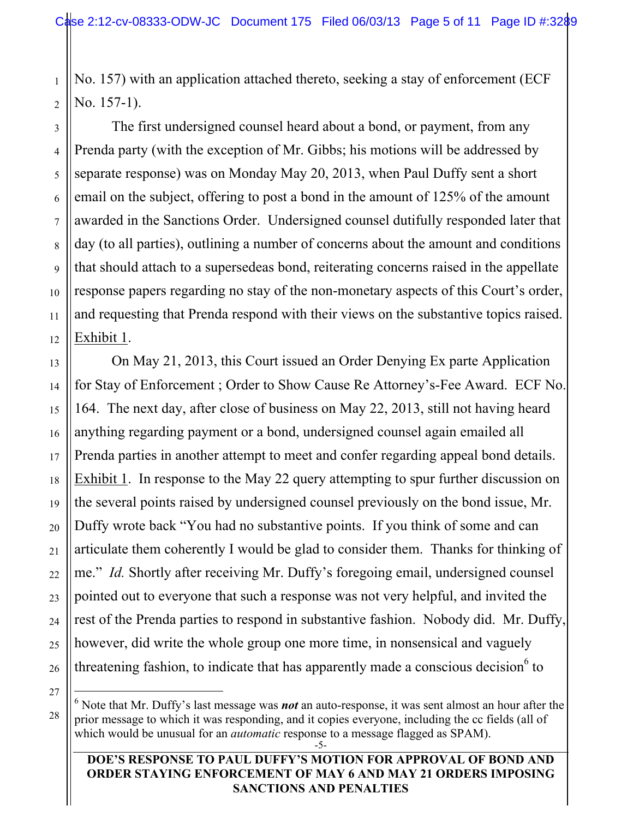1 2 No. 157) with an application attached thereto, seeking a stay of enforcement (ECF No. 157-1).

The first undersigned counsel heard about a bond, or payment, from any Prenda party (with the exception of Mr. Gibbs; his motions will be addressed by separate response) was on Monday May 20, 2013, when Paul Duffy sent a short email on the subject, offering to post a bond in the amount of 125% of the amount awarded in the Sanctions Order. Undersigned counsel dutifully responded later that day (to all parties), outlining a number of concerns about the amount and conditions that should attach to a supersedeas bond, reiterating concerns raised in the appellate response papers regarding no stay of the non-monetary aspects of this Court's order, and requesting that Prenda respond with their views on the substantive topics raised. Exhibit 1.

On May 21, 2013, this Court issued an Order Denying Ex parte Application for Stay of Enforcement ; Order to Show Cause Re Attorney's-Fee Award. ECF No. 164. The next day, after close of business on May 22, 2013, still not having heard anything regarding payment or a bond, undersigned counsel again emailed all Prenda parties in another attempt to meet and confer regarding appeal bond details. Exhibit 1. In response to the May 22 query attempting to spur further discussion on the several points raised by undersigned counsel previously on the bond issue, Mr. Duffy wrote back "You had no substantive points. If you think of some and can articulate them coherently I would be glad to consider them. Thanks for thinking of me." *Id.* Shortly after receiving Mr. Duffy's foregoing email, undersigned counsel pointed out to everyone that such a response was not very helpful, and invited the rest of the Prenda parties to respond in substantive fashion. Nobody did. Mr. Duffy, however, did write the whole group one more time, in nonsensical and vaguely threatening fashion, to indicate that has apparently made a conscious decision $6$  to

27 28

3

4

5

6

7

8

9

10

11

12

13

14

15

16

17

18

19

20

21

22

23

24

25

26

#### **DOE'S RESPONSE TO PAUL DUFFY'S MOTION FOR APPROVAL OF BOND AND ORDER STAYING ENFORCEMENT OF MAY 6 AND MAY 21 ORDERS IMPOSING SANCTIONS AND PENALTIES**

<sup>-5-</sup>  $\frac{1}{6}$  $6$  Note that Mr. Duffy's last message was *not* an auto-response, it was sent almost an hour after the prior message to which it was responding, and it copies everyone, including the cc fields (all of which would be unusual for an *automatic* response to a message flagged as SPAM).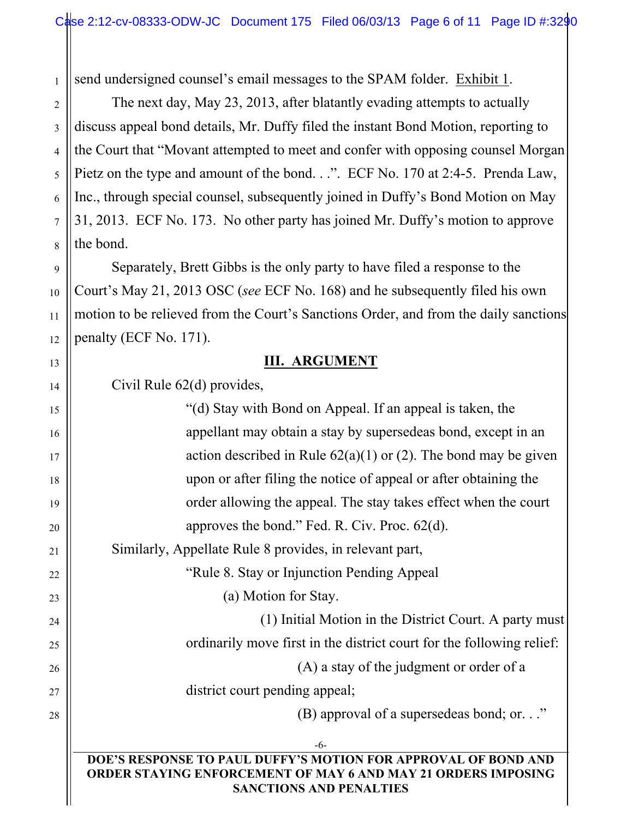1 send undersigned counsel's email messages to the SPAM folder. Exhibit 1.

The next day, May 23, 2013, after blatantly evading attempts to actually discuss appeal bond details, Mr. Duffy filed the instant Bond Motion, reporting to the Court that "Movant attempted to meet and confer with opposing counsel Morgan Pietz on the type and amount of the bond. . .". ECF No. 170 at 2:4-5. Prenda Law, Inc., through special counsel, subsequently joined in Duffy's Bond Motion on May 31, 2013. ECF No. 173. No other party has joined Mr. Duffy's motion to approve the bond.

Separately, Brett Gibbs is the only party to have filed a response to the Court's May 21, 2013 OSC (*see* ECF No. 168) and he subsequently filed his own motion to be relieved from the Court's Sanctions Order, and from the daily sanctions penalty (ECF No. 171).

### **III. ARGUMENT**

Civil Rule 62(d) provides,

2

3

4

5

6

7

8

9

10

11

12

13

14

15

16

17

18

19

20

21

22

23

24

25

26

27

28

| "(d) Stay with Bond on Appeal. If an appeal is taken, the                                                                              |  |  |  |  |  |
|----------------------------------------------------------------------------------------------------------------------------------------|--|--|--|--|--|
| appellant may obtain a stay by supersedeas bond, except in an                                                                          |  |  |  |  |  |
| action described in Rule $62(a)(1)$ or (2). The bond may be given                                                                      |  |  |  |  |  |
| upon or after filing the notice of appeal or after obtaining the                                                                       |  |  |  |  |  |
| order allowing the appeal. The stay takes effect when the court                                                                        |  |  |  |  |  |
| approves the bond." Fed. R. Civ. Proc. $62(d)$ .                                                                                       |  |  |  |  |  |
| Similarly, Appellate Rule 8 provides, in relevant part,                                                                                |  |  |  |  |  |
| "Rule 8. Stay or Injunction Pending Appeal"                                                                                            |  |  |  |  |  |
| (a) Motion for Stay.                                                                                                                   |  |  |  |  |  |
| (1) Initial Motion in the District Court. A party must                                                                                 |  |  |  |  |  |
| ordinarily move first in the district court for the following relief:                                                                  |  |  |  |  |  |
| (A) a stay of the judgment or order of a                                                                                               |  |  |  |  |  |
| district court pending appeal;                                                                                                         |  |  |  |  |  |
| (B) approval of a supersedeas bond; or"                                                                                                |  |  |  |  |  |
| $-6-$                                                                                                                                  |  |  |  |  |  |
| DOE'S RESPONSE TO PAUL DUFFY'S MOTION FOR APPROVAL OF BOND AND<br><b>ORDER STAYING ENFORCEMENT OF MAY 6 AND MAY 21 ORDERS IMPOSING</b> |  |  |  |  |  |

**SANCTIONS AND PENALTIES**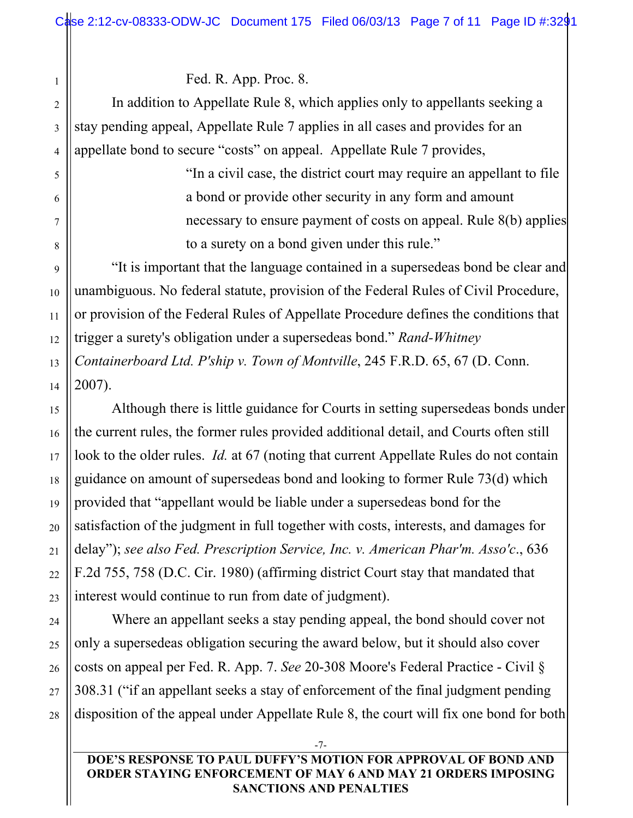Fed. R. App. Proc. 8.

In addition to Appellate Rule 8, which applies only to appellants seeking a stay pending appeal, Appellate Rule 7 applies in all cases and provides for an appellate bond to secure "costs" on appeal. Appellate Rule 7 provides,

> "In a civil case, the district court may require an appellant to file a bond or provide other security in any form and amount necessary to ensure payment of costs on appeal. Rule 8(b) applies to a surety on a bond given under this rule."

"It is important that the language contained in a supersedeas bond be clear and unambiguous. No federal statute, provision of the Federal Rules of Civil Procedure, or provision of the Federal Rules of Appellate Procedure defines the conditions that trigger a surety's obligation under a supersedeas bond." *Rand-Whitney Containerboard Ltd. P'ship v. Town of Montville*, 245 F.R.D. 65, 67 (D. Conn. 2007).

Although there is little guidance for Courts in setting supersedeas bonds under the current rules, the former rules provided additional detail, and Courts often still look to the older rules. *Id.* at 67 (noting that current Appellate Rules do not contain guidance on amount of supersedeas bond and looking to former Rule 73(d) which provided that "appellant would be liable under a supersedeas bond for the satisfaction of the judgment in full together with costs, interests, and damages for delay"); *see also Fed. Prescription Service, Inc. v. American Phar'm. Asso'c*., 636 F.2d 755, 758 (D.C. Cir. 1980) (affirming district Court stay that mandated that interest would continue to run from date of judgment).

Where an appellant seeks a stay pending appeal, the bond should cover not only a supersedeas obligation securing the award below, but it should also cover costs on appeal per Fed. R. App. 7. *See* 20-308 Moore's Federal Practice - Civil § 308.31 ("if an appellant seeks a stay of enforcement of the final judgment pending disposition of the appeal under Appellate Rule 8, the court will fix one bond for both

**DOE'S RESPONSE TO PAUL DUFFY'S MOTION FOR APPROVAL OF BOND AND ORDER STAYING ENFORCEMENT OF MAY 6 AND MAY 21 ORDERS IMPOSING SANCTIONS AND PENALTIES**

-7-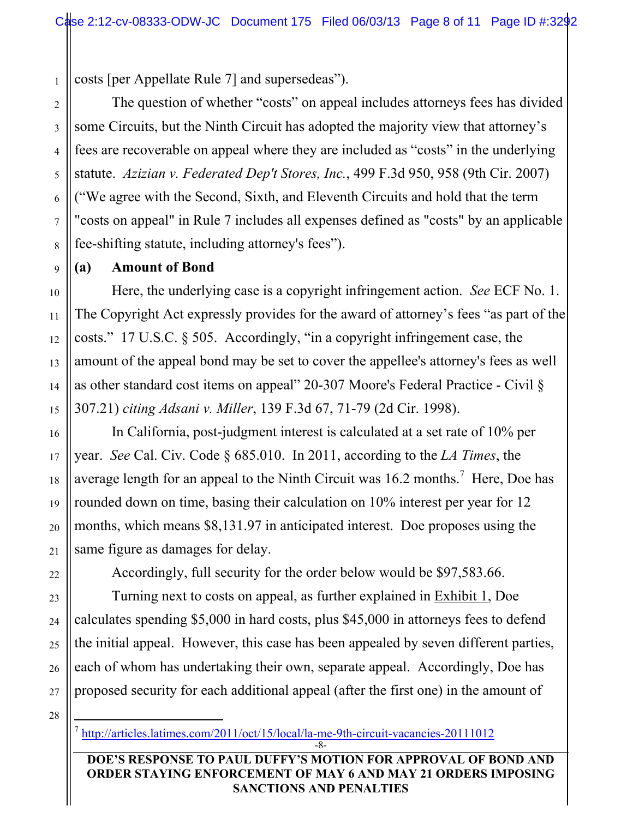costs [per Appellate Rule 7] and supersedeas").

The question of whether "costs" on appeal includes attorneys fees has divided some Circuits, but the Ninth Circuit has adopted the majority view that attorney's fees are recoverable on appeal where they are included as "costs" in the underlying statute. *Azizian v. Federated Dep't Stores, Inc.*, 499 F.3d 950, 958 (9th Cir. 2007) ("We agree with the Second, Sixth, and Eleventh Circuits and hold that the term "costs on appeal" in Rule 7 includes all expenses defined as "costs" by an applicable fee-shifting statute, including attorney's fees").

### **(a) Amount of Bond**

Here, the underlying case is a copyright infringement action. *See* ECF No. 1. The Copyright Act expressly provides for the award of attorney's fees "as part of the costs." 17 U.S.C. § 505. Accordingly, "in a copyright infringement case, the amount of the appeal bond may be set to cover the appellee's attorney's fees as well as other standard cost items on appeal" 20-307 Moore's Federal Practice - Civil § 307.21) *citing Adsani v. Miller*, 139 F.3d 67, 71-79 (2d Cir. 1998).

In California, post-judgment interest is calculated at a set rate of 10% per year. *See* Cal. Civ. Code § 685.010. In 2011, according to the *LA Times*, the average length for an appeal to the Ninth Circuit was  $16.2$  months.<sup>7</sup> Here, Doe has rounded down on time, basing their calculation on 10% interest per year for 12 months, which means \$8,131.97 in anticipated interest. Doe proposes using the same figure as damages for delay.

Accordingly, full security for the order below would be \$97,583.66.

Turning next to costs on appeal, as further explained in Exhibit 1, Doe calculates spending \$5,000 in hard costs, plus \$45,000 in attorneys fees to defend the initial appeal. However, this case has been appealed by seven different parties, each of whom has undertaking their own, separate appeal. Accordingly, Doe has proposed security for each additional appeal (after the first one) in the amount of

28

1

2

<sup>-8-</sup> 7 http://articles.latimes.com/2011/oct/15/local/la-me-9th-circuit-vacancies-20111012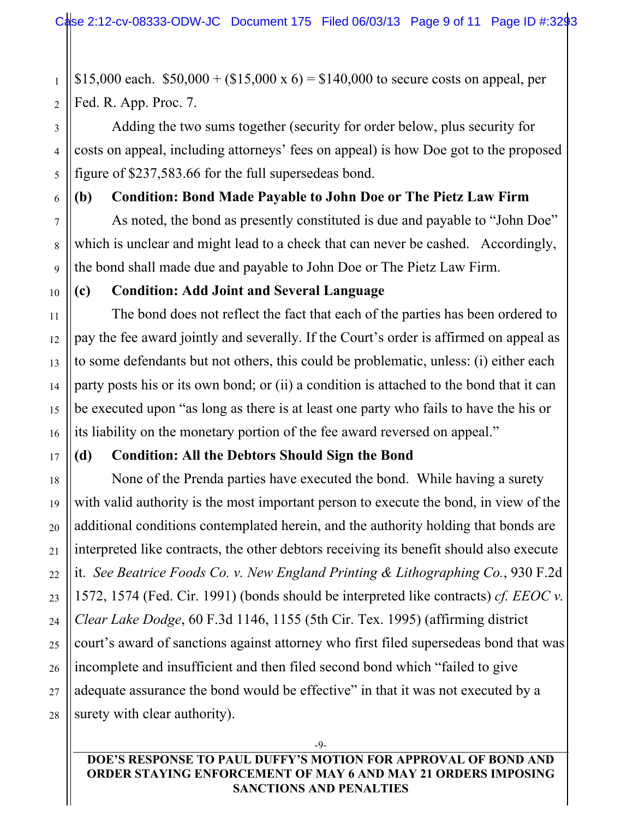\$15,000 each.  $$50,000 + ($15,000 \times 6) = $140,000$  to secure costs on appeal, per Fed. R. App. Proc. 7.

Adding the two sums together (security for order below, plus security for costs on appeal, including attorneys' fees on appeal) is how Doe got to the proposed figure of \$237,583.66 for the full supersedeas bond.

**(b) Condition: Bond Made Payable to John Doe or The Pietz Law Firm**

As noted, the bond as presently constituted is due and payable to "John Doe" which is unclear and might lead to a check that can never be cashed. Accordingly, the bond shall made due and payable to John Doe or The Pietz Law Firm.

### **(c) Condition: Add Joint and Several Language**

The bond does not reflect the fact that each of the parties has been ordered to pay the fee award jointly and severally. If the Court's order is affirmed on appeal as to some defendants but not others, this could be problematic, unless: (i) either each party posts his or its own bond; or (ii) a condition is attached to the bond that it can be executed upon "as long as there is at least one party who fails to have the his or its liability on the monetary portion of the fee award reversed on appeal."

### **(d) Condition: All the Debtors Should Sign the Bond**

None of the Prenda parties have executed the bond. While having a surety with valid authority is the most important person to execute the bond, in view of the additional conditions contemplated herein, and the authority holding that bonds are interpreted like contracts, the other debtors receiving its benefit should also execute it. *See Beatrice Foods Co. v. New England Printing & Lithographing Co.*, 930 F.2d 1572, 1574 (Fed. Cir. 1991) (bonds should be interpreted like contracts) *cf. EEOC v. Clear Lake Dodge*, 60 F.3d 1146, 1155 (5th Cir. Tex. 1995) (affirming district court's award of sanctions against attorney who first filed supersedeas bond that was incomplete and insufficient and then filed second bond which "failed to give adequate assurance the bond would be effective" in that it was not executed by a surety with clear authority).

**DOE'S RESPONSE TO PAUL DUFFY'S MOTION FOR APPROVAL OF BOND AND ORDER STAYING ENFORCEMENT OF MAY 6 AND MAY 21 ORDERS IMPOSING SANCTIONS AND PENALTIES**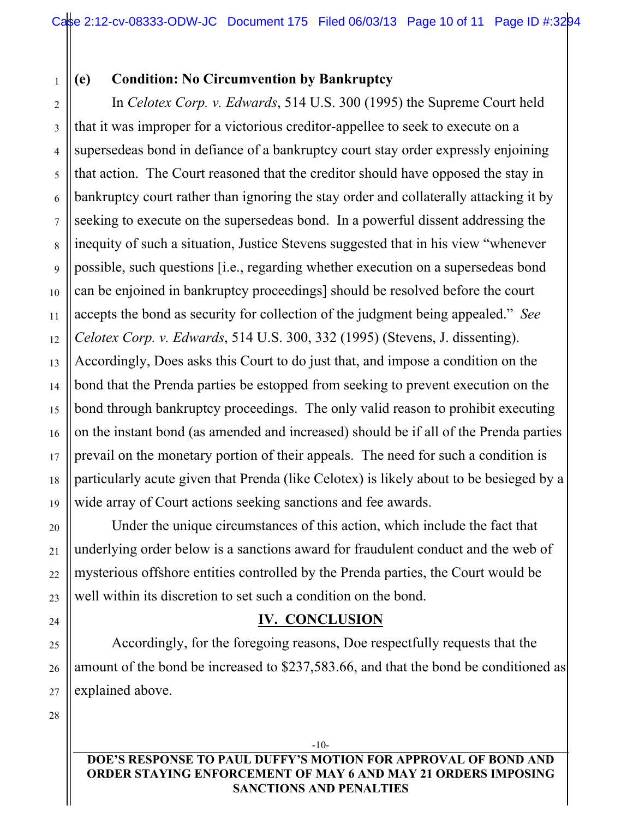1 2

## **(e) Condition: No Circumvention by Bankruptcy**

3 4 5 6 7 8 9 10 11 12 13 14 15 16 17 18 19 In *Celotex Corp. v. Edwards*, 514 U.S. 300 (1995) the Supreme Court held that it was improper for a victorious creditor-appellee to seek to execute on a supersedeas bond in defiance of a bankruptcy court stay order expressly enjoining that action. The Court reasoned that the creditor should have opposed the stay in bankruptcy court rather than ignoring the stay order and collaterally attacking it by seeking to execute on the supersedeas bond. In a powerful dissent addressing the inequity of such a situation, Justice Stevens suggested that in his view "whenever possible, such questions [i.e., regarding whether execution on a supersedeas bond can be enjoined in bankruptcy proceedings] should be resolved before the court accepts the bond as security for collection of the judgment being appealed." *See Celotex Corp. v. Edwards*, 514 U.S. 300, 332 (1995) (Stevens, J. dissenting). Accordingly, Does asks this Court to do just that, and impose a condition on the bond that the Prenda parties be estopped from seeking to prevent execution on the bond through bankruptcy proceedings. The only valid reason to prohibit executing on the instant bond (as amended and increased) should be if all of the Prenda parties prevail on the monetary portion of their appeals. The need for such a condition is particularly acute given that Prenda (like Celotex) is likely about to be besieged by a wide array of Court actions seeking sanctions and fee awards.

Under the unique circumstances of this action, which include the fact that underlying order below is a sanctions award for fraudulent conduct and the web of mysterious offshore entities controlled by the Prenda parties, the Court would be well within its discretion to set such a condition on the bond.

## **IV. CONCLUSION**

Accordingly, for the foregoing reasons, Doe respectfully requests that the amount of the bond be increased to \$237,583.66, and that the bond be conditioned as explained above.

28

20

21

22

23

24

25

26

27

**DOE'S RESPONSE TO PAUL DUFFY'S MOTION FOR APPROVAL OF BOND AND ORDER STAYING ENFORCEMENT OF MAY 6 AND MAY 21 ORDERS IMPOSING SANCTIONS AND PENALTIES**

-10-